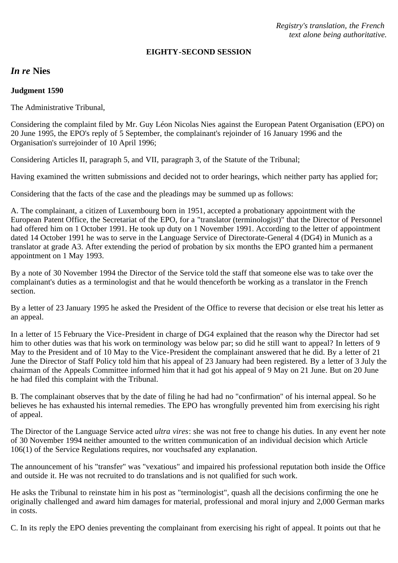*Registry's translation, the French text alone being authoritative.*

#### **EIGHTY-SECOND SESSION**

# *In re* **Nies**

### **Judgment 1590**

The Administrative Tribunal,

Considering the complaint filed by Mr. Guy Léon Nicolas Nies against the European Patent Organisation (EPO) on 20 June 1995, the EPO's reply of 5 September, the complainant's rejoinder of 16 January 1996 and the Organisation's surrejoinder of 10 April 1996;

Considering Articles II, paragraph 5, and VII, paragraph 3, of the Statute of the Tribunal;

Having examined the written submissions and decided not to order hearings, which neither party has applied for;

Considering that the facts of the case and the pleadings may be summed up as follows:

A. The complainant, a citizen of Luxembourg born in 1951, accepted a probationary appointment with the European Patent Office, the Secretariat of the EPO, for a "translator (terminologist)" that the Director of Personnel had offered him on 1 October 1991. He took up duty on 1 November 1991. According to the letter of appointment dated 14 October 1991 he was to serve in the Language Service of Directorate-General 4 (DG4) in Munich as a translator at grade A3. After extending the period of probation by six months the EPO granted him a permanent appointment on 1 May 1993.

By a note of 30 November 1994 the Director of the Service told the staff that someone else was to take over the complainant's duties as a terminologist and that he would thenceforth be working as a translator in the French section.

By a letter of 23 January 1995 he asked the President of the Office to reverse that decision or else treat his letter as an appeal.

In a letter of 15 February the Vice-President in charge of DG4 explained that the reason why the Director had set him to other duties was that his work on terminology was below par; so did he still want to appeal? In letters of 9 May to the President and of 10 May to the Vice-President the complainant answered that he did. By a letter of 21 June the Director of Staff Policy told him that his appeal of 23 January had been registered. By a letter of 3 July the chairman of the Appeals Committee informed him that it had got his appeal of 9 May on 21 June. But on 20 June he had filed this complaint with the Tribunal.

B. The complainant observes that by the date of filing he had had no "confirmation" of his internal appeal. So he believes he has exhausted his internal remedies. The EPO has wrongfully prevented him from exercising his right of appeal.

The Director of the Language Service acted *ultra vires*: she was not free to change his duties. In any event her note of 30 November 1994 neither amounted to the written communication of an individual decision which Article 106(1) of the Service Regulations requires, nor vouchsafed any explanation.

The announcement of his "transfer" was "vexatious" and impaired his professional reputation both inside the Office and outside it. He was not recruited to do translations and is not qualified for such work.

He asks the Tribunal to reinstate him in his post as "terminologist", quash all the decisions confirming the one he originally challenged and award him damages for material, professional and moral injury and 2,000 German marks in costs.

C. In its reply the EPO denies preventing the complainant from exercising his right of appeal. It points out that he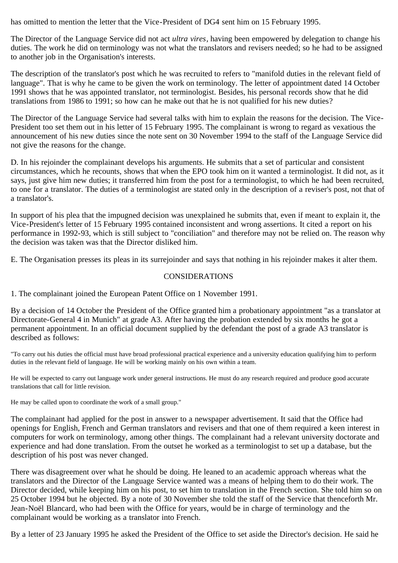has omitted to mention the letter that the Vice-President of DG4 sent him on 15 February 1995.

The Director of the Language Service did not act *ultra vires*, having been empowered by delegation to change his duties. The work he did on terminology was not what the translators and revisers needed; so he had to be assigned to another job in the Organisation's interests.

The description of the translator's post which he was recruited to refers to "manifold duties in the relevant field of language". That is why he came to be given the work on terminology. The letter of appointment dated 14 October 1991 shows that he was appointed translator, not terminologist. Besides, his personal records show that he did translations from 1986 to 1991; so how can he make out that he is not qualified for his new duties?

The Director of the Language Service had several talks with him to explain the reasons for the decision. The Vice-President too set them out in his letter of 15 February 1995. The complainant is wrong to regard as vexatious the announcement of his new duties since the note sent on 30 November 1994 to the staff of the Language Service did not give the reasons for the change.

D. In his rejoinder the complainant develops his arguments. He submits that a set of particular and consistent circumstances, which he recounts, shows that when the EPO took him on it wanted a terminologist. It did not, as it says, just give him new duties; it transferred him from the post for a terminologist, to which he had been recruited, to one for a translator. The duties of a terminologist are stated only in the description of a reviser's post, not that of a translator's.

In support of his plea that the impugned decision was unexplained he submits that, even if meant to explain it, the Vice-President's letter of 15 February 1995 contained inconsistent and wrong assertions. It cited a report on his performance in 1992-93, which is still subject to "conciliation" and therefore may not be relied on. The reason why the decision was taken was that the Director disliked him.

E. The Organisation presses its pleas in its surrejoinder and says that nothing in his rejoinder makes it alter them.

## CONSIDERATIONS

1. The complainant joined the European Patent Office on 1 November 1991.

By a decision of 14 October the President of the Office granted him a probationary appointment "as a translator at Directorate-General 4 in Munich" at grade A3. After having the probation extended by six months he got a permanent appointment. In an official document supplied by the defendant the post of a grade A3 translator is described as follows:

"To carry out his duties the official must have broad professional practical experience and a university education qualifying him to perform duties in the relevant field of language. He will be working mainly on his own within a team.

He will be expected to carry out language work under general instructions. He must do any research required and produce good accurate translations that call for little revision.

He may be called upon to coordinate the work of a small group."

The complainant had applied for the post in answer to a newspaper advertisement. It said that the Office had openings for English, French and German translators and revisers and that one of them required a keen interest in computers for work on terminology, among other things. The complainant had a relevant university doctorate and experience and had done translation. From the outset he worked as a terminologist to set up a database, but the description of his post was never changed.

There was disagreement over what he should be doing. He leaned to an academic approach whereas what the translators and the Director of the Language Service wanted was a means of helping them to do their work. The Director decided, while keeping him on his post, to set him to translation in the French section. She told him so on 25 October 1994 but he objected. By a note of 30 November she told the staff of the Service that thenceforth Mr. Jean-Noël Blancard, who had been with the Office for years, would be in charge of terminology and the complainant would be working as a translator into French.

By a letter of 23 January 1995 he asked the President of the Office to set aside the Director's decision. He said he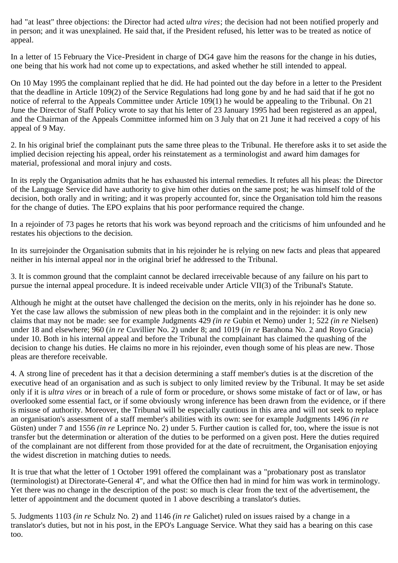had "at least" three objections: the Director had acted *ultra vires*; the decision had not been notified properly and in person; and it was unexplained. He said that, if the President refused, his letter was to be treated as notice of appeal.

In a letter of 15 February the Vice-President in charge of DG4 gave him the reasons for the change in his duties, one being that his work had not come up to expectations, and asked whether he still intended to appeal.

On 10 May 1995 the complainant replied that he did. He had pointed out the day before in a letter to the President that the deadline in Article 109(2) of the Service Regulations had long gone by and he had said that if he got no notice of referral to the Appeals Committee under Article 109(1) he would be appealing to the Tribunal. On 21 June the Director of Staff Policy wrote to say that his letter of 23 January 1995 had been registered as an appeal, and the Chairman of the Appeals Committee informed him on 3 July that on 21 June it had received a copy of his appeal of 9 May.

2. In his original brief the complainant puts the same three pleas to the Tribunal. He therefore asks it to set aside the implied decision rejecting his appeal, order his reinstatement as a terminologist and award him damages for material, professional and moral injury and costs.

In its reply the Organisation admits that he has exhausted his internal remedies. It refutes all his pleas: the Director of the Language Service did have authority to give him other duties on the same post; he was himself told of the decision, both orally and in writing; and it was properly accounted for, since the Organisation told him the reasons for the change of duties. The EPO explains that his poor performance required the change.

In a rejoinder of 73 pages he retorts that his work was beyond reproach and the criticisms of him unfounded and he restates his objections to the decision.

In its surrejoinder the Organisation submits that in his rejoinder he is relying on new facts and pleas that appeared neither in his internal appeal nor in the original brief he addressed to the Tribunal.

3. It is common ground that the complaint cannot be declared irreceivable because of any failure on his part to pursue the internal appeal procedure. It is indeed receivable under Article VII(3) of the Tribunal's Statute.

Although he might at the outset have challenged the decision on the merits, only in his rejoinder has he done so. Yet the case law allows the submission of new pleas both in the complaint and in the rejoinder: it is only new claims that may not be made: see for example Judgments 429 *(in re* Gubin et Nemo) under 1; 522 *(in re* Nielsen) under 18 and elsewhere; 960 (*in re* Cuvillier No. 2) under 8; and 1019 (*in re* Barahona No. 2 and Royo Gracia) under 10. Both in his internal appeal and before the Tribunal the complainant has claimed the quashing of the decision to change his duties. He claims no more in his rejoinder, even though some of his pleas are new. Those pleas are therefore receivable.

4. A strong line of precedent has it that a decision determining a staff member's duties is at the discretion of the executive head of an organisation and as such is subject to only limited review by the Tribunal. It may be set aside only if it is *ultra vires* or in breach of a rule of form or procedure, or shows some mistake of fact or of law, or has overlooked some essential fact, or if some obviously wrong inference has been drawn from the evidence, or if there is misuse of authority. Moreover, the Tribunal will be especially cautious in this area and will not seek to replace an organisation's assessment of a staff member's abilities with its own: see for example Judgments 1496 *(in re* Güsten) under 7 and 1556 *(in re* Leprince No. 2) under 5. Further caution is called for, too, where the issue is not transfer but the determination or alteration of the duties to be performed on a given post. Here the duties required of the complainant are not different from those provided for at the date of recruitment, the Organisation enjoying the widest discretion in matching duties to needs.

It is true that what the letter of 1 October 1991 offered the complainant was a "probationary post as translator (terminologist) at Directorate-General 4", and what the Office then had in mind for him was work in terminology. Yet there was no change in the description of the post: so much is clear from the text of the advertisement, the letter of appointment and the document quoted in 1 above describing a translator's duties.

5. Judgments 1103 *(in re* Schulz No. 2) and 1146 *(in re* Galichet) ruled on issues raised by a change in a translator's duties, but not in his post, in the EPO's Language Service. What they said has a bearing on this case too.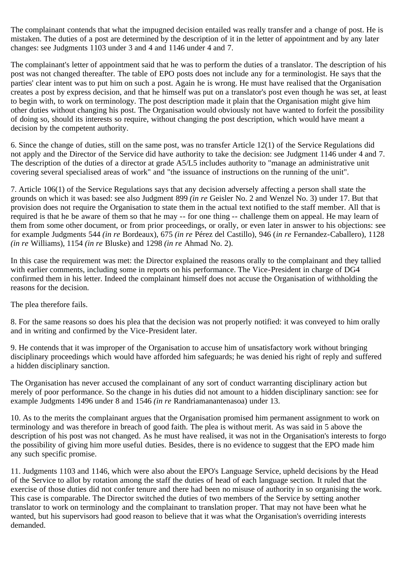The complainant contends that what the impugned decision entailed was really transfer and a change of post. He is mistaken. The duties of a post are determined by the description of it in the letter of appointment and by any later changes: see Judgments 1103 under 3 and 4 and 1146 under 4 and 7.

The complainant's letter of appointment said that he was to perform the duties of a translator. The description of his post was not changed thereafter. The table of EPO posts does not include any for a terminologist. He says that the parties' clear intent was to put him on such a post. Again he is wrong. He must have realised that the Organisation creates a post by express decision, and that he himself was put on a translator's post even though he was set, at least to begin with, to work on terminology. The post description made it plain that the Organisation might give him other duties without changing his post. The Organisation would obviously not have wanted to forfeit the possibility of doing so, should its interests so require, without changing the post description, which would have meant a decision by the competent authority.

6. Since the change of duties, still on the same post, was no transfer Article 12(1) of the Service Regulations did not apply and the Director of the Service did have authority to take the decision: see Judgment 1146 under 4 and 7. The description of the duties of a director at grade A5/L5 includes authority to "manage an administrative unit covering several specialised areas of work" and "the issuance of instructions on the running of the unit".

7. Article 106(1) of the Service Regulations says that any decision adversely affecting a person shall state the grounds on which it was based: see also Judgment 899 *(in re* Geisler No. 2 and Wenzel No. 3) under 17. But that provision does not require the Organisation to state them in the actual text notified to the staff member. All that is required is that he be aware of them so that he may -- for one thing -- challenge them on appeal. He may learn of them from some other document, or from prior proceedings, or orally, or even later in answer to his objections: see for example Judgments 544 *(in re* Bordeaux), 675 *(in re* Pérez del Castillo), 946 (*in re* Fernandez-Caballero), 1128 *(in re* Williams), 1154 *(in re* Bluske) and 1298 *(in re* Ahmad No. 2).

In this case the requirement was met: the Director explained the reasons orally to the complainant and they tallied with earlier comments, including some in reports on his performance. The Vice-President in charge of DG4 confirmed them in his letter. Indeed the complainant himself does not accuse the Organisation of withholding the reasons for the decision.

The plea therefore fails.

8. For the same reasons so does his plea that the decision was not properly notified: it was conveyed to him orally and in writing and confirmed by the Vice-President later.

9. He contends that it was improper of the Organisation to accuse him of unsatisfactory work without bringing disciplinary proceedings which would have afforded him safeguards; he was denied his right of reply and suffered a hidden disciplinary sanction.

The Organisation has never accused the complainant of any sort of conduct warranting disciplinary action but merely of poor performance. So the change in his duties did not amount to a hidden disciplinary sanction: see for example Judgments 1496 under 8 and 1546 *(in re* Randriamanantenasoa) under 13.

10. As to the merits the complainant argues that the Organisation promised him permanent assignment to work on terminology and was therefore in breach of good faith. The plea is without merit. As was said in 5 above the description of his post was not changed. As he must have realised, it was not in the Organisation's interests to forgo the possibility of giving him more useful duties. Besides, there is no evidence to suggest that the EPO made him any such specific promise.

11. Judgments 1103 and 1146, which were also about the EPO's Language Service, upheld decisions by the Head of the Service to allot by rotation among the staff the duties of head of each language section. It ruled that the exercise of those duties did not confer tenure and there had been no misuse of authority in so organising the work. This case is comparable. The Director switched the duties of two members of the Service by setting another translator to work on terminology and the complainant to translation proper. That may not have been what he wanted, but his supervisors had good reason to believe that it was what the Organisation's overriding interests demanded.